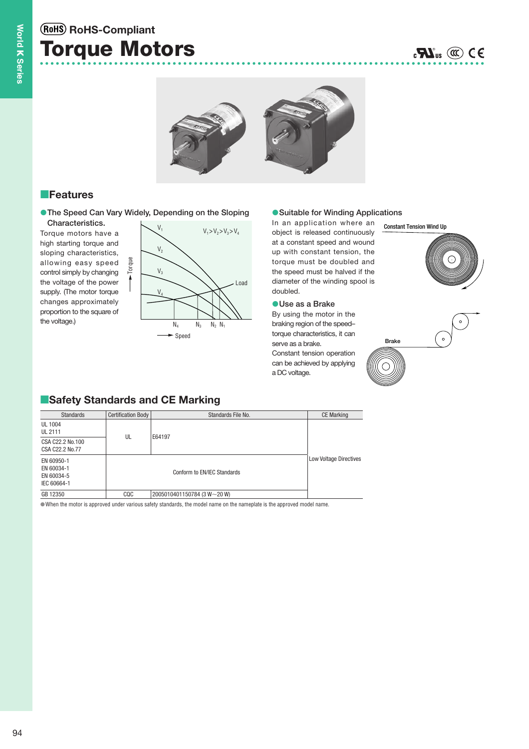## **Torque Motors RoHS-Compliant**



## **Features**

**• The Speed Can Vary Widely, Depending on the Sloping • Suitable for Winding Applications Characteristics.**

Torque

Torque motors have a high starting torque and sloping characteristics, allowing easy speed control simply by changing the voltage of the power supply. (The motor torque changes approximately proportion to the square of the voltage.)



#### ● Suitable for Winding Applications

In an application where an object is released continuously at a constant speed and wound up with constant tension, the torque must be doubled and the speed must be halved if the diameter of the winding spool is doubled.

#### **Use as a Brake**

By using the motor in the braking region of the speed– torque characteristics, it can serve as a brake. Constant tension operation can be achieved by applying a DC voltage.





## **E**Safety Standards and CE Marking

| <b>Standards</b>                                      | <b>Certification Body</b> | Standards File No.          | <b>CE Marking</b>             |
|-------------------------------------------------------|---------------------------|-----------------------------|-------------------------------|
| UL 1004<br><b>UL 2111</b>                             | UL                        | E64197                      |                               |
| CSA C22.2 No.100<br>CSA C22.2 No.77                   |                           |                             |                               |
| EN 60950-1<br>EN 60034-1<br>EN 60034-5<br>IEC 60664-1 |                           | Conform to EN/IEC Standards | <b>Low Voltage Directives</b> |
| GB 12350                                              | CQC                       | 2005010401150784 (3 W~20 W) |                               |

When the motor is approved under various safety standards, the model name on the nameplate is the approved model name.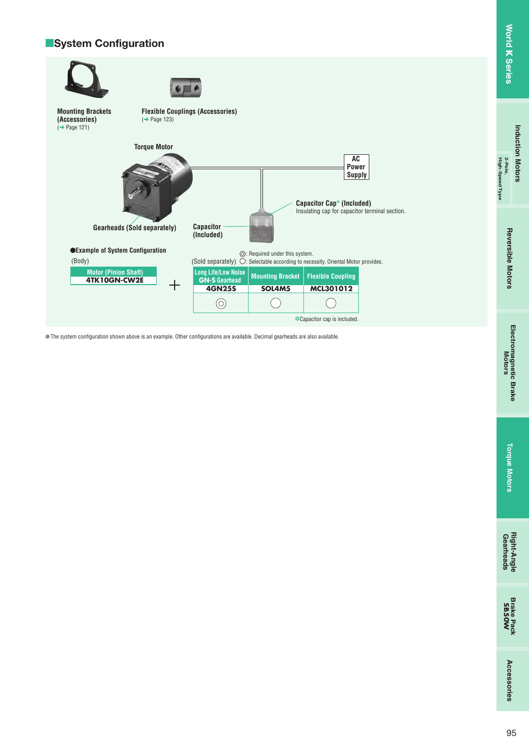# **Induction Motors Induction Motors 2-Pole,**

**High-Speed Type**

High-Speed Type

# **Torque Motors Torque Motors**

**Gearheads Right-Angle**

## **■System Configuration**



The system configuration shown above is an example. Other configurations are available. Decimal gearheads are also available.

**Accessories**

Accessories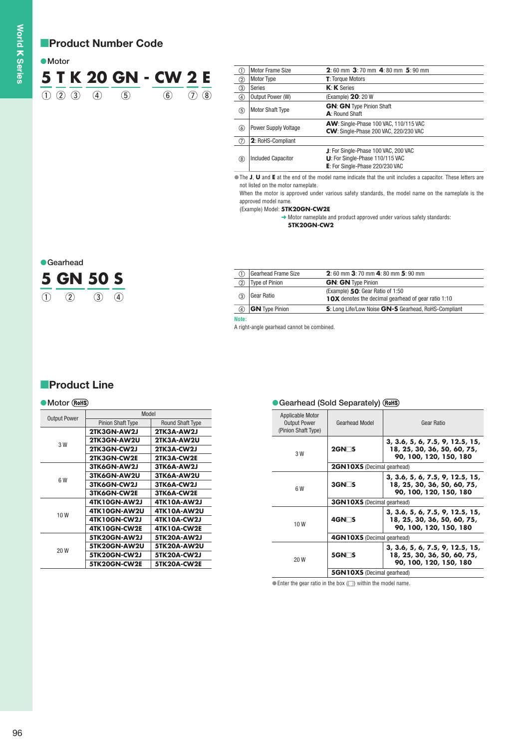## **Product Number Code**

| ●Motor |  |                         |  |                      |             |  |
|--------|--|-------------------------|--|----------------------|-------------|--|
|        |  |                         |  | 5 T K 20 GN - CW 2 E |             |  |
|        |  | $(1)$ $(2)$ $(3)$ $(4)$ |  | (6)                  | $(7)$ $(8)$ |  |

| (T)         | <b>Motor Frame Size</b>     | $2:60$ mm $3:70$ mm $4:80$ mm $5:90$ mm                                                                    |
|-------------|-----------------------------|------------------------------------------------------------------------------------------------------------|
| (2)         | <b>Motor Type</b>           | <b>T</b> : Torque Motors                                                                                   |
| ③           | Series                      | $K: K$ Series                                                                                              |
| ④           | Output Power (W)            | (Example) 20: 20 W                                                                                         |
| (5)         | <b>Motor Shaft Type</b>     | <b>GN: GN Type Pinion Shaft</b><br>A: Round Shaft                                                          |
| 6           | <b>Power Supply Voltage</b> | AW: Single-Phase 100 VAC, 110/115 VAC<br>CW: Single-Phase 200 VAC, 220/230 VAC                             |
| $\circled7$ | 2: RoHS-Compliant           |                                                                                                            |
| (8)         | <b>Included Capacitor</b>   | J: For Single-Phase 100 VAC, 200 VAC<br>U: For Single-Phase 110/115 VAC<br>E: For Single-Phase 220/230 VAC |

The **J**, **U** and **E** at the end of the model name indicate that the unit includes a capacitor. These letters are not listed on the motor nameplate.

When the motor is approved under various safety standards, the model name on the nameplate is the approved model name.

(Example) Model: **5TK20GN-CW2E**

➜ Motor nameplate and product approved under various safety standards: **5TK20GN-CW2**



|                | Gearhead Frame Size   | 2:60 mm 3:70 mm 4:80 mm 5:90 mm                                                                |
|----------------|-----------------------|------------------------------------------------------------------------------------------------|
| $^{\circledR}$ | Type of Pinion        | <b>GN: GN Type Pinion</b>                                                                      |
|                | Gear Ratio            | (Example) 50: Gear Ratio of 1:50<br><b>10X</b> denotes the decimal gearhead of gear ratio 1:10 |
| (4)            | <b>GN</b> Type Pinion | S: Long Life/Low Noise GN-S Gearhead, RoHS-Compliant                                           |

**Note:**

A right-angle gearhead cannot be combined.

## **Product Line**

#### **Motor (RoHS) Construction Charles Construction Construction Construction Construction Construction Construction Construction Construction Construction Construction Construction Construction Construction Construction Construction Const**

| <b>Output Power</b> | Model                    |                         |
|---------------------|--------------------------|-------------------------|
|                     | <b>Pinion Shaft Type</b> | <b>Round Shaft Type</b> |
|                     | 2TK3GN-AW2J              | 2TK3A-AW2J              |
| 3 W                 | 2TK3GN-AW2U              | 2TK3A-AW2U              |
|                     | 2TK3GN-CW2J              | 2TK3A-CW2J              |
|                     | 2TK3GN-CW2E              | 2TK3A-CW2E              |
|                     | 3TK6GN-AW2J              | 3TK6A-AW2J              |
| 6 W                 | 3TK6GN-AW2U              | 3TK6A-AW2U              |
|                     | 3TK6GN-CW2J              | 3TK6A-CW2J              |
|                     | 3TK6GN-CW2E              | 3TK6A-CW2E              |
|                     | 4TK10GN-AW2J             | 4TK10A-AW2J             |
| 10W                 | 4TK10GN-AW2U             | 4TK10A-AW2U             |
|                     | 4TK10GN-CW2J             | 4TK10A-CW2J             |
|                     | 4TK10GN-CW2E             | <b>4TK10A-CW2E</b>      |
|                     | 5TK20GN-AW2J             | 5TK20A-AW2J             |
| 20 W                | 5TK20GN-AW2U             | <b>5TK20A-AW2U</b>      |
|                     | 5TK20GN-CW2J             | 5TK20A-CW2J             |
|                     | 5TK20GN-CW2E             | 5TK20A-CW2E             |

| <b>Applicable Motor</b><br><b>Output Power</b><br>(Pinion Shaft Type) | Gearhead Model                    | Gear Ratio                                                                               |
|-----------------------------------------------------------------------|-----------------------------------|------------------------------------------------------------------------------------------|
| 3 W                                                                   | $2$ GN $\Box$ S                   | 3, 3.6, 5, 6, 7.5, 9, 12.5, 15,<br>18, 25, 30, 36, 50, 60, 75,<br>90, 100, 120, 150, 180 |
|                                                                       | <b>2GN10XS</b> (Decimal gearhead) |                                                                                          |
| 6 W                                                                   | $3$ GN $\sqcap$ S                 | 3, 3.6, 5, 6, 7.5, 9, 12.5, 15,<br>18, 25, 30, 36, 50, 60, 75,<br>90, 100, 120, 150, 180 |
|                                                                       | <b>3GN10XS</b> (Decimal gearhead) |                                                                                          |
| 10 W                                                                  | 4GN⊟S                             | 3, 3.6, 5, 6, 7.5, 9, 12.5, 15,<br>18, 25, 30, 36, 50, 60, 75,<br>90, 100, 120, 150, 180 |
|                                                                       | <b>4GN10XS</b> (Decimal gearhead) |                                                                                          |
| 20 W                                                                  | 5GN⊟S                             | 3, 3.6, 5, 6, 7.5, 9, 12.5, 15,<br>18, 25, 30, 36, 50, 60, 75,<br>90, 100, 120, 150, 180 |
|                                                                       | <b>5GN10XS</b> (Decimal gearhead) |                                                                                          |

 $\bullet$  Enter the gear ratio in the box ( $\Box$ ) within the model name.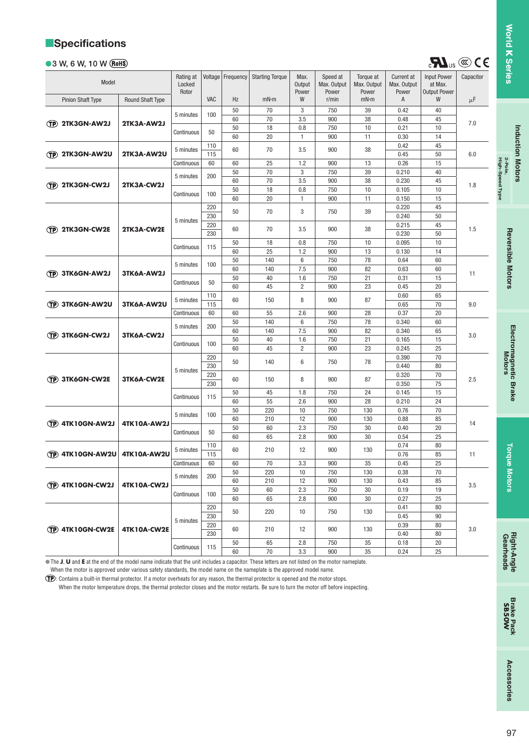## **Specifications**

#### **3 W, 6 W, 10 W**

| Model                    |                         | Rating at<br>Locked |            | Voltage   Frequency | <b>Starting Torque</b> | Max.<br>Output | Speed at<br>Max. Output | Torque at<br>Max. Output | Current at<br>Max. Output | <b>Input Power</b><br>at Max. | Capacitor |
|--------------------------|-------------------------|---------------------|------------|---------------------|------------------------|----------------|-------------------------|--------------------------|---------------------------|-------------------------------|-----------|
| <b>Pinion Shaft Type</b> | <b>Round Shaft Type</b> | Rotor               | <b>VAC</b> | Hz                  | mN·m                   | Power<br>W     | Power<br>r/min          | Power<br>mN·m            | Power<br>A                | <b>Output Power</b><br>W      | μF        |
|                          |                         | 5 minutes           | 100        | 50                  | 70                     | 3              | 750                     | 39                       | 0.42                      | 40                            |           |
| <b>TP 2TK3GN-AW2J</b>    | 2TK3A-AW2J              |                     |            | 60                  | 70                     | 3.5            | 900                     | 38                       | 0.48                      | 45                            | 7.0       |
|                          |                         | Continuous          | 50         | 50                  | 18                     | 0.8            | 750                     | 10                       | 0.21                      | 10                            |           |
|                          |                         |                     |            | 60                  | 20                     | $\mathbf{1}$   | 900                     | 11                       | 0.30                      | 14                            |           |
|                          |                         | 5 minutes           | 110        | 60                  | 70                     | 3.5            | 900                     | 38                       | 0.42                      | 45                            |           |
| (TP) 2TK3GN-AW2U         | 2TK3A-AW2U              |                     | 115        |                     |                        |                |                         |                          | 0.45                      | 50                            | 6.0       |
|                          |                         | Continuous          | 60         | 60                  | 25                     | 1.2            | 900                     | 13                       | 0.26                      | 15                            |           |
|                          |                         | 5 minutes           | 200        | 50                  | 70                     | 3              | 750                     | 39                       | 0.210                     | 40                            |           |
| (TP) 2TK3GN-CW2J         | 2TK3A-CW2J              |                     |            | 60                  | 70                     | 3.5            | 900                     | 38                       | 0.230                     | 45                            | 1.8       |
|                          |                         | Continuous          | 100        | 50                  | 18                     | 0.8            | 750                     | 10                       | 0.105                     | 10                            |           |
|                          |                         |                     |            | 60                  | 20                     | 1              | 900                     | 11                       | 0.150                     | 15                            |           |
|                          |                         |                     | 220        | 50                  | 70                     | 3              | 750                     | 39                       | 0.220                     | 45                            |           |
|                          |                         | 5 minutes           | 230        |                     |                        |                |                         |                          | 0.240                     | 50                            |           |
| (TP) 2TK3GN-CW2E         | 2TK3A-CW2E              |                     | 220        | 60                  | 70                     | 3.5            | 900                     | 38                       | 0.215                     | 45                            | 1.5       |
|                          |                         |                     | 230        |                     |                        |                |                         |                          | 0.230                     | 50                            |           |
|                          |                         | Continuous          | 115        | 50                  | 18                     | 0.8            | 750                     | 10                       | 0.095                     | 10                            |           |
|                          |                         |                     |            | 60                  | 25                     | 1.2            | 900                     | 13                       | 0.130                     | 14                            |           |
|                          |                         | 5 minutes           | 100        | 50                  | 140                    | 6              | 750                     | 78                       | 0.64                      | 60                            |           |
| <b>TP 3TK6GN-AW2J</b>    | 3TK6A-AW2J              |                     |            | 60                  | 140<br>40              | 7.5            | 900                     | 82<br>21                 | 0.63                      | 60<br>15                      | 11        |
|                          |                         | Continuous          | 50         | 50                  |                        | 1.6            | 750                     |                          | 0.31                      |                               |           |
|                          |                         |                     | 110        | 60                  | 45                     | $\overline{2}$ | 900                     | 23                       | 0.45<br>0.60              | 20<br>65                      |           |
| <b>TP 3TK6GN-AW2U</b>    | 3TK6A-AW2U              | 5 minutes           | 115        | 60                  | 150                    | 8              | 900                     | 87                       | 0.65                      | 70                            | 9.0       |
|                          |                         | Continuous          | 60         | 60                  | 55                     | 2.6            | 900                     | 28                       | 0.37                      | 20                            |           |
|                          |                         |                     |            | 50                  | 140                    | 6              | 750                     | 78                       | 0.340                     | 60                            |           |
|                          |                         | 5 minutes           | 200        | 60                  | 140                    | 7.5            | 900                     | 82                       | 0.340                     | 65                            |           |
| <b>TP 3TK6GN-CW2J</b>    | 3TK6A-CW2J              |                     |            | 50                  | 40                     | 1.6            | 750                     | 21                       | 0.165                     | 15                            | 3.0       |
|                          |                         | Continuous          | 100        | 60                  | 45                     | $\overline{2}$ | 900                     | 23                       | 0.245                     | 25                            |           |
|                          |                         |                     | 220        |                     |                        |                |                         |                          | 0.390                     | 70                            |           |
|                          |                         |                     | 230        | 50                  | 140                    | 6              | 750                     | 78                       | 0.440                     | 80                            |           |
|                          |                         | 5 minutes           | 220        |                     |                        |                |                         |                          | 0.320                     | 70                            |           |
| <b>TP 3TK6GN-CW2E</b>    | 3TK6A-CW2E              |                     | 230        | 60                  | 150                    | 8              | 900                     | 87                       | 0.350                     | 75                            | 2.5       |
|                          |                         |                     |            | 50                  | 45                     | 1.8            | 750                     | 24                       | 0.145                     | 15                            |           |
|                          |                         | Continuous          | 115        | 60                  | 55                     | 2.6            | 900                     | 28                       | 0.210                     | 24                            |           |
|                          |                         |                     |            | 50                  | 220                    | 10             | 750                     | 130                      | 0.76                      | 70                            |           |
|                          |                         | 5 minutes           | 100        | 60                  | 210                    | 12             | 900                     | 130                      | 0.88                      | 85                            |           |
| <b>TP 4TK10GN-AW2J</b>   | 4TK10A-AW2J             | Continuous          | 50         | 50                  | 60                     | 2.3            | 750                     | 30                       | 0.40                      | 20                            | 14        |
|                          |                         |                     |            | 60                  | 65                     | 2.8            | 900                     | 30                       | 0.54                      | 25                            |           |
|                          |                         | 5 minutes           | 110        | 60                  | 210                    | 12             | 900                     | 130                      | 0.74                      | 80                            |           |
| <b>TP 4TK10GN-AW2U</b>   | <b>4TK10A-AW2U</b>      |                     | 115        |                     |                        |                |                         |                          | 0.76                      | 85                            | 11        |
|                          |                         | Continuous          | 60         | 60                  | 70                     | 3.3            | 900                     | 35                       | 0.45                      | 25                            |           |
|                          |                         | 5 minutes           | 200        | 50                  | 220                    | 10             | 750                     | 130                      | 0.38                      | 70                            |           |
| <b>TP 4TK10GN-CW2J</b>   | 4TK10A-CW2J             |                     |            | 60                  | 210                    | 12             | 900                     | 130                      | 0.43                      | 85                            | 3.5       |
|                          |                         | Continuous          | 100        | 50                  | 60                     | 2.3            | 750                     | 30                       | 0.19                      | 19                            |           |
|                          |                         |                     |            | 60                  | 65                     | 2.8            | 900                     | 30                       | 0.27                      | 25                            |           |
|                          |                         |                     | 220        | 50                  | 220                    | 10             | 750                     | 130                      | 0.41                      | 80                            |           |
|                          |                         | 5 minutes           | 230        |                     |                        |                |                         |                          | 0.45                      | 90                            |           |
| <b>TP 4TK10GN-CW2E</b>   | 4TK10A-CW2E             |                     | 220        | 60                  | 210                    | 12             | 900                     | 130                      | 0.39                      | 80                            | 3.0       |
|                          |                         |                     | 230        |                     |                        |                |                         |                          | 0.40                      | 80                            |           |
|                          |                         | Continuous          | 115        | 50                  | 65                     | 2.8            | 750                     | 35                       | 0.18                      | 20                            |           |
|                          |                         |                     |            | 60                  | 70                     | 3.3            | 900                     | 35                       | 0.24                      | 25                            |           |

The **J**, **U** and **E** at the end of the model name indicate that the unit includes a capacitor. These letters are not listed on the motor nameplate. When the motor is approved under various safety standards, the model name on the nameplate is the approved model name.

: Contains a built-in thermal protector. If a motor overheats for any reason, the thermal protector is opened and the motor stops.

When the motor temperature drops, the thermal protector closes and the motor restarts. Be sure to turn the motor off before inspecting.

 $\mathbf{H}$ <sub>us</sub>  $\circledcirc$  66

**Induction Motors**

**Induction Motors** 

**High-Speed Type 2-Pole,**

**Reversible Motors**

**Reversible Motors** 

**Electromagnetic Brake Motors**

Electromagnetic Brake<br>Motors

**Torque Motors**

**Torque Motors** 

**Gearheads Right-Angle**

**Brake Pack SB50W** Accessories **Accessories**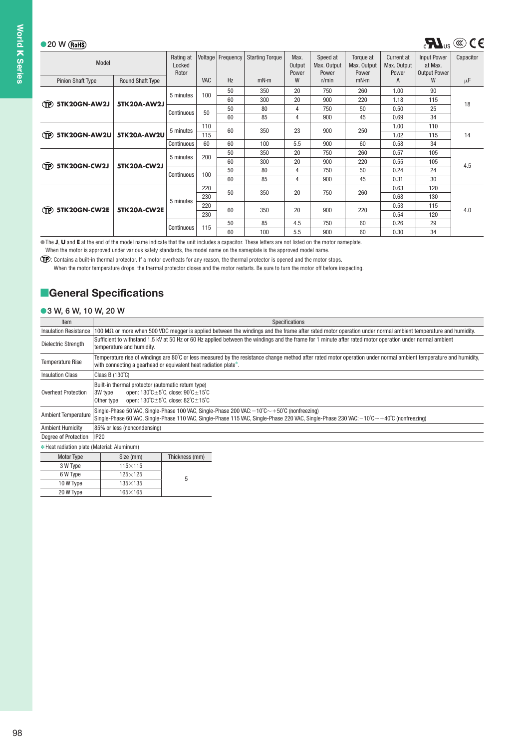#### ●20 W

 $^{\circ}$ 

 $\circled{1}$ 

 $\bigoplus$ 

 $\mathbf{D}$ 

| W (RoHS)                 |                         |                              |            |           |                        |                         |                                  |                                   |                                           |                                                      | $\mathbf{R}$ <sub>us</sub> $\circledast$ $\mathbf{C}$ |
|--------------------------|-------------------------|------------------------------|------------|-----------|------------------------|-------------------------|----------------------------------|-----------------------------------|-------------------------------------------|------------------------------------------------------|-------------------------------------------------------|
| Model                    |                         | Rating at<br>Locked<br>Rotor | Voltage    | Frequency | <b>Starting Torque</b> | Max.<br>Output<br>Power | Speed at<br>Max. Output<br>Power | Torque at<br>Max. Output<br>Power | <b>Current</b> at<br>Max. Output<br>Power | <b>Input Power</b><br>at Max.<br><b>Output Power</b> | Capacitor                                             |
| <b>Pinion Shaft Type</b> | <b>Round Shaft Type</b> |                              | <b>VAC</b> | Hz        | mN·m                   | W                       | r/min                            | mN·m                              | A                                         | W                                                    | $\mu$ F                                               |
|                          |                         | 5 minutes                    | 100        | 50<br>60  | 350<br>300             | 20<br>20                | 750<br>900                       | 260<br>220                        | 1.00<br>1.18                              | 90<br>115                                            |                                                       |
| 5TK20GN-AW2J             | 5TK20A-AW2J             | Continuous                   | 50         | 50<br>60  | 80<br>85               | 4<br>4                  | 750<br>900                       | 50<br>45                          | 0.50<br>0.69                              | 25<br>34                                             | 18                                                    |
| 5TK20GN-AW2U             | <b>5TK20A-AW2U</b>      | 5 minutes                    | 110<br>115 | 60        | 350                    | 23                      | 900                              | 250                               | 1.00<br>1.02                              | 110<br>115                                           | 14                                                    |
|                          |                         | Continuous                   | 60         | 60        | 100                    | 5.5                     | 900                              | 60                                | 0.58                                      | 34                                                   |                                                       |
|                          |                         | 5 minutes                    | 200        | 50<br>60  | 350<br>300             | 20<br>20                | 750<br>900                       | 260<br>220                        | 0.57<br>0.55                              | 105<br>105                                           |                                                       |
| 5TK20GN-CW2J             | 5TK20A-CW2J             | Continuous                   | 100        | 50<br>60  | 80<br>85               | 4<br>4                  | 750<br>900                       | 50<br>45                          | 0.24<br>0.31                              | 24<br>30                                             | 4.5                                                   |
|                          |                         |                              | 220<br>230 | 50        | 350                    | 20                      | 750                              | 260                               | 0.63<br>0.68                              | 120<br>130                                           |                                                       |
| 5TK20GN-CW2E             | 5TK20A-CW2E             | 5 minutes                    | 220<br>230 | 60        | 350                    | 20                      | 900                              | 220                               | 0.53<br>0.54                              | 115<br>120                                           | 4.0                                                   |
|                          |                         | Continuous                   | 115        | 50<br>60  | 85<br>100              | 4.5<br>5.5              | 750<br>900                       | 60<br>60                          | 0.26<br>0.30                              | 29<br>34                                             |                                                       |

The **J, U** and E at the end of the model name indicate that the unit includes a capacitor. These letters are not listed on the motor nameplate.

When the motor is approved under various safety standards, the model name on the nameplate is the approved model name.

: Contains a built-in thermal protector. If a motor overheats for any reason, the thermal protector is opened and the motor stops.

When the motor temperature drops, the thermal protector closes and the motor restarts. Be sure to turn the motor off before inspecting.

## **General Specifications**

#### **3 W, 6 W, 10 W, 20 W**

| Item                                        |                                                                             |                                                                                                                                                                                    | Specifications                                                                                                                                                                                                                                                                 |
|---------------------------------------------|-----------------------------------------------------------------------------|------------------------------------------------------------------------------------------------------------------------------------------------------------------------------------|--------------------------------------------------------------------------------------------------------------------------------------------------------------------------------------------------------------------------------------------------------------------------------|
| <b>Insulation Resistance</b>                |                                                                             |                                                                                                                                                                                    | 100 M $\Omega$ or more when 500 VDC megger is applied between the windings and the frame after rated motor operation under normal ambient temperature and humidity.                                                                                                            |
| Dielectric Strength                         | temperature and humidity.                                                   |                                                                                                                                                                                    | Sufficient to withstand 1.5 kV at 50 Hz or 60 Hz applied between the windings and the frame for 1 minute after rated motor operation under normal ambient                                                                                                                      |
| <b>Temperature Rise</b>                     | with connecting a gearhead or equivalent heat radiation plate*.             |                                                                                                                                                                                    | Temperature rise of windings are 80°C or less measured by the resistance change method after rated motor operation under normal ambient temperature and humidity,                                                                                                              |
| <b>Insulation Class</b>                     | Class B $(130^{\circ}C)$                                                    |                                                                                                                                                                                    |                                                                                                                                                                                                                                                                                |
| <b>Overheat Protection</b>                  | Built-in thermal protector (automatic return type)<br>3W type<br>Other type | open: $130^{\circ}$ C $\pm$ 5 $^{\circ}$ C, close: $90^{\circ}$ C $\pm$ 15 $^{\circ}$ C<br>open: $130^{\circ}$ C $\pm$ 5 $^{\circ}$ C, close: $82^{\circ}$ C $\pm$ 15 $^{\circ}$ C |                                                                                                                                                                                                                                                                                |
| <b>Ambient Temperature</b>                  |                                                                             |                                                                                                                                                                                    | Single-Phase 50 VAC, Single-Phase 100 VAC, Single-Phase 200 VAC: $-10^{\circ}C \sim +50^{\circ}C$ (nonfreezing)<br>Single-Phase 60 VAC, Single-Phase 110 VAC, Single-Phase 115 VAC, Single-Phase 220 VAC, Single-Phase 230 VAC: $-10^{\circ}C \sim +40^{\circ}C$ (nonfreezing) |
| <b>Ambient Humidity</b>                     | 85% or less (noncondensing)                                                 |                                                                                                                                                                                    |                                                                                                                                                                                                                                                                                |
| Degree of Protection                        | IP20                                                                        |                                                                                                                                                                                    |                                                                                                                                                                                                                                                                                |
| * Heat radiation plate (Material: Aluminum) |                                                                             |                                                                                                                                                                                    |                                                                                                                                                                                                                                                                                |
| Motor Type                                  | Size (mm)                                                                   | Thickness (mm)                                                                                                                                                                     |                                                                                                                                                                                                                                                                                |
| 3 W Type                                    | $115\times115$                                                              |                                                                                                                                                                                    |                                                                                                                                                                                                                                                                                |
| 6 W Type                                    | $125\times125$                                                              | 5                                                                                                                                                                                  |                                                                                                                                                                                                                                                                                |
| 10 W Type                                   | $135\times135$                                                              |                                                                                                                                                                                    |                                                                                                                                                                                                                                                                                |
| 20 W Type                                   | $165\times165$                                                              |                                                                                                                                                                                    |                                                                                                                                                                                                                                                                                |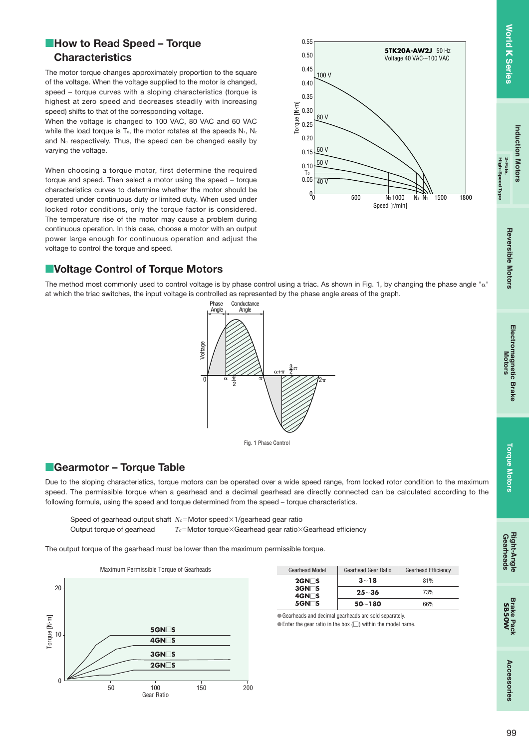ad Albe

HIgn-s

## **How to Read Speed - Torque Characteristics**

The motor torque changes approximately proportion to the square of the voltage. When the voltage supplied to the motor is changed, speed – torque curves with a sloping characteristics (torque is highest at zero speed and decreases steadily with increasing speed) shifts to that of the corresponding voltage.

When the voltage is changed to 100 VAC, 80 VAC and 60 VAC while the load torque is T<sub>0</sub>, the motor rotates at the speeds  $N_1$ ,  $N_2$ and N<sub>3</sub> respectively. Thus, the speed can be changed easily by varying the voltage.

When choosing a torque motor, first determine the required torque and speed. Then select a motor using the speed – torque characteristics curves to determine whether the motor should be operated under continuous duty or limited duty. When used under locked rotor conditions, only the torque factor is considered. The temperature rise of the motor may cause a problem during continuous operation. In this case, choose a motor with an output power large enough for continuous operation and adjust the voltage to control the torque and speed.



## **E**Voltage Control of Torque Motors

The method most commonly used to control voltage is by phase control using a triac. As shown in Fig. 1, by changing the phase angle " $\alpha$ " at which the triac switches, the input voltage is controlled as represented by the phase angle areas of the graph.





## **Gearmotor - Torque Table**

Due to the sloping characteristics, torque motors can be operated over a wide speed range, from locked rotor condition to the maximum speed. The permissible torque when a gearhead and a decimal gearhead are directly connected can be calculated according to the following formula, using the speed and torque determined from the speed – torque characteristics.

Speed of gearhead output shaft *N<sub>G</sub>*=Motor speed×1/gearhead gear ratio Output torque of gearhead  $T_G = \text{Motor torque} \times \text{Gearhead}$  gear ratio $\times$ Gearhead efficiency

The output torque of the gearhead must be lower than the maximum permissible torque.



| <b>Gearhead Model</b>              | <b>Gearhead Gear Ratio</b> | <b>Gearhead Efficiency</b> |
|------------------------------------|----------------------------|----------------------------|
| $2$ GN $\Box$ S                    | $3 - 18$                   | 81%                        |
| $3$ GN $\Box$ S<br>$4$ GN $\Box$ S | $25 - 36$                  | 73%                        |
| $5$ GN $\Box$ S                    | $50 - 180$                 | 66%                        |

Gearheads and decimal gearheads are sold separately.  $\bullet$  Enter the gear ratio in the box ( $\Box$ ) within the model name.

99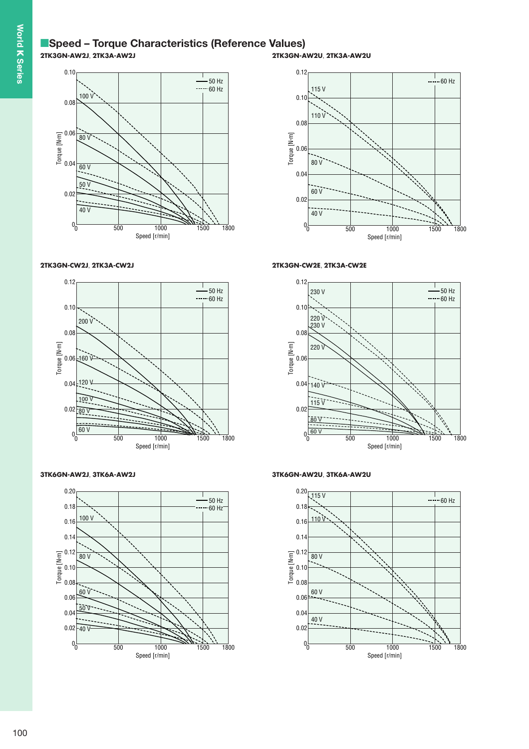## **■Speed - Torque Characteristics (Reference Values) 2TK3GN-AW2J**, **2TK3A-AW2J**



#### **2TK3GN-CW2J**, **2TK3A-CW2J**



**3TK6GN-AW2J**, **3TK6A-AW2J**



**2TK3GN-AW2U**, **2TK3A-AW2U**



#### **2TK3GN-CW2E**, **2TK3A-CW2E**



**3TK6GN-AW2U**, **3TK6A-AW2U**

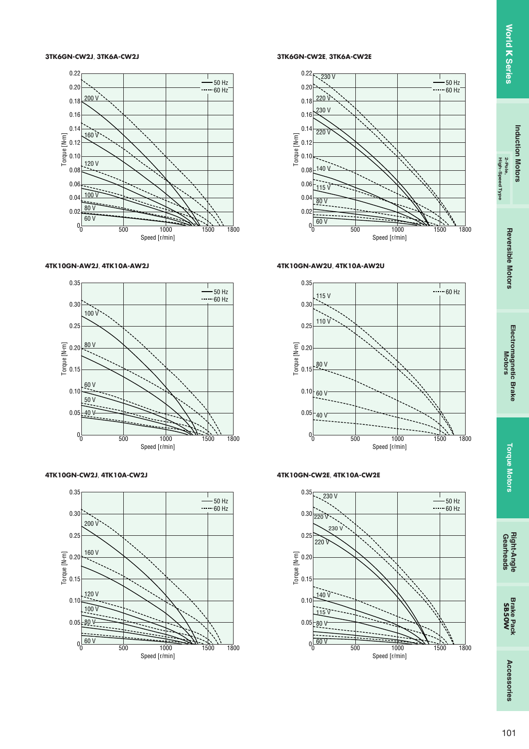High-Speed Type

#### **3TK6GN-CW2J**, **3TK6A-CW2J**



#### **4TK10GN-AW2J**, **4TK10A-AW2J**



**4TK10GN-CW2J**, **4TK10A-CW2J**



**3TK6GN-CW2E**, **3TK6A-CW2E**



#### **4TK10GN-AW2U**, **4TK10A-AW2U**



#### **4TK10GN-CW2E**, **4TK10A-CW2E**

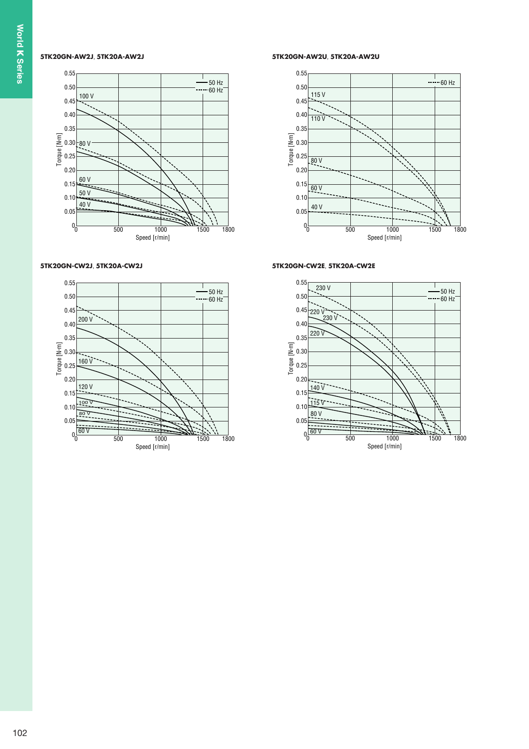#### **5TK20GN-AW2J**, **5TK20A-AW2J**



#### **5TK20GN-CW2J**, **5TK20A-CW2J**



**5TK20GN-AW2U**, **5TK20A-AW2U**



#### **5TK20GN-CW2E**, **5TK20A-CW2E**

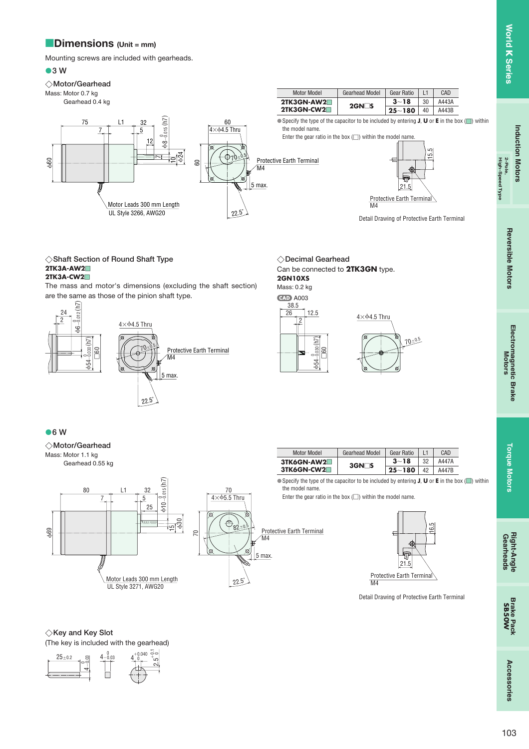## **Dimensions** (Unit = mm)

Mounting screws are included with gearheads.

#### **3 W**

 60

#### **Motor/Gearhead**

Mass: Motor 0.7 kg

Gearhead 0.4 kg

75

7

| Motor Model | <b>Gearhead Model</b> | Gear Ratio |    | CAD   |
|-------------|-----------------------|------------|----|-------|
| 2TK3GN-AW2  | $2$ GN $\Box$ S       | $3 - 18$   | 30 | A443A |
| 2TK3GN-CW2  |                       | $25 - 180$ | 40 | A443B |

● Specify the type of the capacitor to be included by entering **J**, **U** or **E** in the box (■) within the model name.

Enter the gear ratio in the box  $(\square)$  within the model name



Protective Earth Terminal M4

Detail Drawing of Protective Earth Terminal

**Shaft Section of Round Shaft Type 2TK3A-AW2**

#### **2TK3A-CW2**

The mass and motor's dimensions (excluding the shaft section) are the same as those of the pinion shaft type.

Motor Leads 300 mm Length UL Style 3266, AWG20

5

12

 $\check{ }$ 

 $b - 8 - 0.015$  (h7)

5

 24

60



**Decimal Gearhead** Can be connected to **2TK3GN** type. **2GN10XS**

Mass: 0.2 kg **CAD** A003



**6 W**



 $4\times$  $64.5$  Thru

60

 $70 - 0.5$ 

5 max.

Protective Earth Terminal M4

22.5˚



Protective Earth Terminal

Detail Drawing of Protective Earth Terminal

#### $\diamondsuit$ Key and Key Slot

(The key is included with the gearhead)





| Gear Ratio    | L1 | CAD   |
|---------------|----|-------|
| $3 - 18$      | 32 | A447A |
| 25 $\sim$ 180 | 42 | A447B |

● Specify the type of the capacitor to be included by entering **J**, **U** or **E** in the box (■) within

Enter the gear ratio in the box  $(\square)$  within the model name.

**Torque Motors**

**Torque Motors** 

**Induction Motors**

**Induction Motors** 

**High-Speed Type 2-Pole,**

eed Type

**Reversible Motors**

**Reversible Motors** 

**Electromagnetic Brake Motors**

Electromagnetic Brake<br>Motors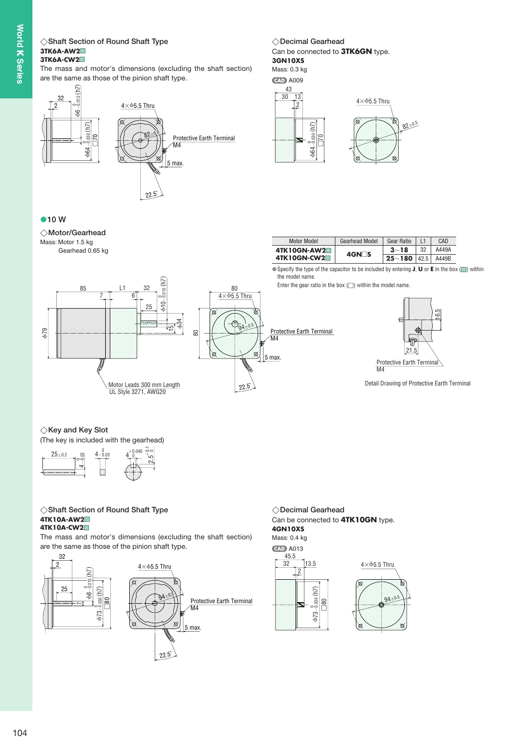# World **K** Series **K Series**

## **Shaft Section of Round Shaft Type Decimal Gearhead 3TK6A-AW2**

## **3TK6A-CW2**

The mass and motor's dimensions (excluding the shaft section) are the same as those of the pinion shaft type.



#### Can be connected to **3TK6GN** type. **3GN10XS** ◇Decimal Gearhead

#### Mass: 0.3 kg

**CAD** A009





#### **10 W**

**Motor/Gearhead** Mass: Motor 1.5 kg Gearhead 0.65 kg



● Specify the type of the capacitor to be included by entering **J**, **U** or **E** in the box (■) within the model name.

Enter the gear ratio in the box  $(\square)$  within the model name.



Detail Drawing of Protective Earth Terminal

#### $\diamondsuit$ Key and Key Slot

(The key is included with the gearhead)



## **Shaft Section of Round Shaft Type Decimal Gearhead 4TK10A-AW2**

#### **4TK10A-CW2**

The mass and motor's dimensions (excluding the shaft section) are the same as those of the pinion shaft type.



Can be connected to **4TK10GN** type. **4GN10XS**  $\diamondsuit$ Decimal Gearhead

Mass: 0.4 kg **CAD** A013





Motor Leads 300 mm Length UL Style 3271, AWG20

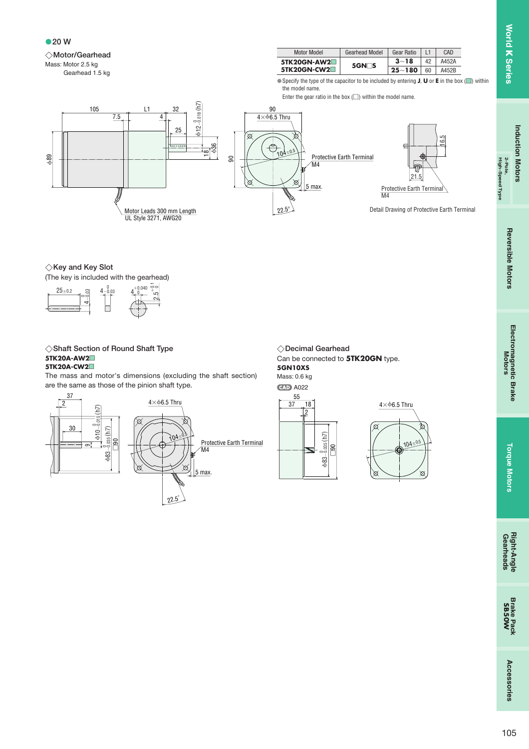High-Speed Type

**20 W**



Gearhead 1.5 kg



● Specify the type of the capacitor to be included by entering **J**, **U** or **E** in the box (■) within the model name.

Enter the gear ratio in the box  $(\square)$  within the model name.



#### $\diamondsuit$ Key and Key Slot

(The key is included with the gearhead)



#### **Shaft Section of Round Shaft Type Decimal Gearhead 5TK20A-AW2 5TK20A-CW2**

The mass and motor's dimensions (excluding the shaft section) are the same as those of the pinion shaft type.



Can be connected to **5TK20GN** type. **5GN10XS** ◇Decimal Gearhead

Mass: 0.6 kg **CAD A022** 



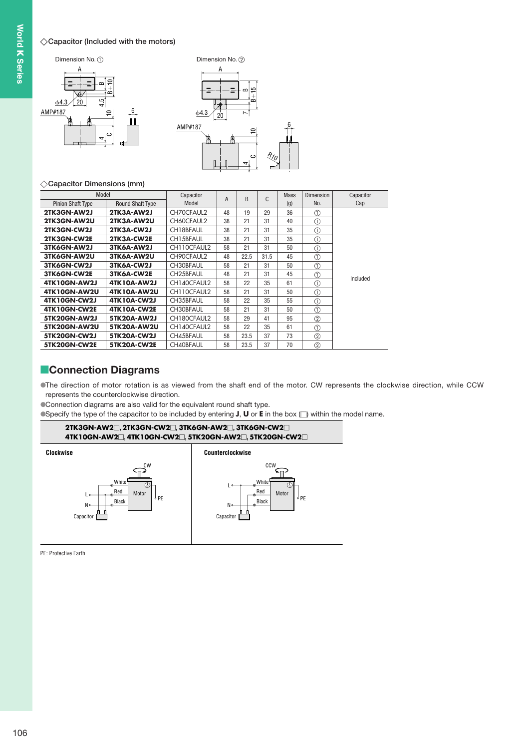#### **Capacitor (Included with the motors)**





#### **Capacitor Dimensions (mm)**

| Model                    |                         | Capacitor              | $\overline{A}$ |      | C<br><sub>R</sub> | <b>Mass</b> | <b>Dimension</b> | Capacitor |
|--------------------------|-------------------------|------------------------|----------------|------|-------------------|-------------|------------------|-----------|
| <b>Pinion Shaft Type</b> | <b>Round Shaft Type</b> | Model                  |                |      |                   | (g)         | No.              | Cap       |
| 2TK3GN-AW2J              | 2TK3A-AW2J              | CH70CFAUL2             | 48             | 19   | 29                | 36          | 1                |           |
| 2TK3GN-AW2U              | 2TK3A-AW2U              | CH60CFAUL2             | 38             | 21   | 31                | 40          | $\circled{1}$    |           |
| 2TK3GN-CW2J              | 2TK3A-CW2J              | CH18BFAUL              | 38             | 21   | 31                | 35          | ⋒                |           |
| 2TK3GN-CW2E              | 2TK3A-CW2E              | CH15BFAUL              | 38             | 21   | 31                | 35          | $\circled{1}$    |           |
| 3TK6GN-AW2J              | 3TK6A-AW2J              | CH110CFAUL2            | 58             | 21   | 31                | 50          | $\circled{0}$    |           |
| 3TK6GN-AW2U              | 3TK6A-AW2U              | CH90CFAUL2             | 48             | 22.5 | 31.5              | 45          | $\circled{0}$    |           |
| 3TK6GN-CW2J              | 3TK6A-CW2J              | CH30BFAUL              | 58             | 21   | 31                | 50          | (1)              |           |
| 3TK6GN-CW2E              | 3TK6A-CW2E              | CH <sub>25</sub> BFAUL | 48             | 21   | 31                | 45          | (1)              | Included  |
| 4TK10GN-AW2J             | 4TK10A-AW2J             | CH140CFAUL2            | 58             | 22   | 35                | 61          | ⋒                |           |
| 4TK10GN-AW2U             | 4TK10A-AW2U             | CH110CFAUL2            | 58             | 21   | 31                | 50          | $^{\circ}$       |           |
| 4TK10GN-CW2J             | <b>4TK10A-CW2J</b>      | CH35BFAUL              | 58             | 22   | 35                | 55          | $\circled{0}$    |           |
| 4TK10GN-CW2E             | 4TK10A-CW2E             | CH30BFAUL              | 58             | 21   | 31                | 50          | $\circled{1}$    |           |
| 5TK20GN-AW2J             | 5TK20A-AW2J             | CH180CFAUL2            | 58             | 29   | 41                | 95          | (2)              |           |
| 5TK20GN-AW2U             | <b>5TK20A-AW2U</b>      | CH140CFAUL2            | 58             | 22   | 35                | 61          | $\circled{1}$    |           |
| 5TK20GN-CW2J             | 5TK20A-CW2J             | CH45BFAUL              | 58             | 23.5 | 37                | 73          | $^{\circledR}$   |           |
| 5TK20GN-CW2E             | 5TK20A-CW2E             | CH40BFAUL              | 58             | 23.5 | 37                | 70          | $\circled{2}$    |           |

### **Connection Diagrams**

The direction of motor rotation is as viewed from the shaft end of the motor. CW represents the clockwise direction, while CCW represents the counterclockwise direction.

Connection diagrams are also valid for the equivalent round shaft type.

Specify the type of the capacitor to be included by entering  $J$ ,  $U$  or  $E$  in the box  $\Box$ ) within the model name.



PE: Protective Earth